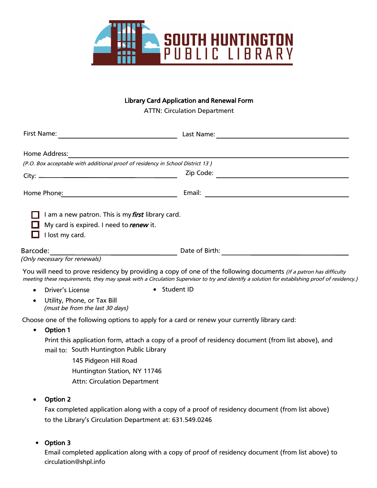

### Library Card Application and Renewal Form

ATTN: Circulation Department

| First Name:<br><u> 1989 - Johann Barbara, martin a</u>                                                                 |                                                                                                                                                                                                                                                                     |
|------------------------------------------------------------------------------------------------------------------------|---------------------------------------------------------------------------------------------------------------------------------------------------------------------------------------------------------------------------------------------------------------------|
| Home Address:                                                                                                          |                                                                                                                                                                                                                                                                     |
| (P.O. Box acceptable with additional proof of residency in School District 13)                                         |                                                                                                                                                                                                                                                                     |
|                                                                                                                        | Zip Code:                                                                                                                                                                                                                                                           |
| Home Phone: Note and Solid Phone Phone: Note and Solid Phone Phone 2014                                                |                                                                                                                                                                                                                                                                     |
| I am a new patron. This is my <i>first</i> library card.<br>My card is expired. I need to renew it.<br>I lost my card. |                                                                                                                                                                                                                                                                     |
|                                                                                                                        |                                                                                                                                                                                                                                                                     |
|                                                                                                                        | You will need to prove residency by providing a copy of one of the following documents (If a patron has difficulty<br>meeting these requirements, they may speak with a Circulation Supervisor to try and identify a solution for establishing proof of residency.) |
| <b>Driver's License</b>                                                                                                | • Student ID                                                                                                                                                                                                                                                        |
| Utility, Phone, or Tax Bill<br>$\bullet$<br>(must be from the last 30 days)                                            |                                                                                                                                                                                                                                                                     |
| Choose one of the following options to apply for a card or renew your currently library card:<br>Option 1<br>$\bullet$ |                                                                                                                                                                                                                                                                     |
| mail to: South Huntington Public Library<br>145 Pidgeon Hill Road<br>Huntington Station, NY 11746                      | Print this application form, attach a copy of a proof of residency document (from list above), and                                                                                                                                                                  |
| <b>Attn: Circulation Department</b>                                                                                    |                                                                                                                                                                                                                                                                     |

#### • Option 2

Fax completed application along with a copy of a proof of residency document (from list above) to the Library's Circulation Department at: 631.549.0246

### • Option 3

Email completed application along with a copy of proof of residency document (from list above) to circulation@shpl.info